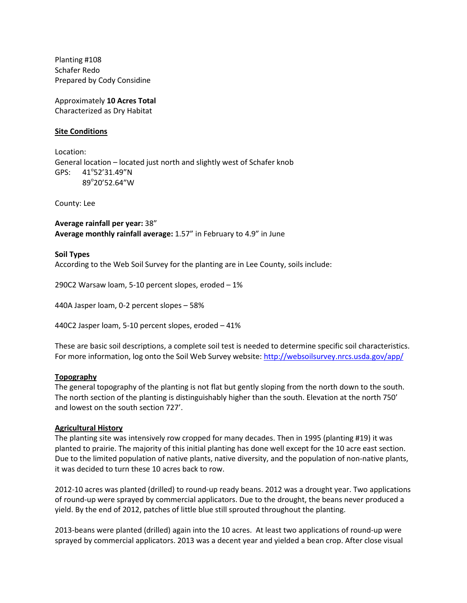Planting #108 Schafer Redo Prepared by Cody Considine

Approximately **10 Acres Total** Characterized as Dry Habitat

# **Site Conditions**

Location: General location – located just north and slightly west of Schafer knob GPS: 41°52'31.49"N 89°20'52.64"W

County: Lee

**Average rainfall per year:** 38" **Average monthly rainfall average:** 1.57" in February to 4.9" in June

## **Soil Types**

According to the Web Soil Survey for the planting are in Lee County, soils include:

290C2 Warsaw loam, 5-10 percent slopes, eroded – 1%

440A Jasper loam, 0-2 percent slopes – 58%

440C2 Jasper loam, 5-10 percent slopes, eroded – 41%

These are basic soil descriptions, a complete soil test is needed to determine specific soil characteristics. For more information, log onto the Soil Web Survey website:<http://websoilsurvey.nrcs.usda.gov/app/>

#### **Topography**

The general topography of the planting is not flat but gently sloping from the north down to the south. The north section of the planting is distinguishably higher than the south. Elevation at the north 750' and lowest on the south section 727'.

#### **Agricultural History**

The planting site was intensively row cropped for many decades. Then in 1995 (planting #19) it was planted to prairie. The majority of this initial planting has done well except for the 10 acre east section. Due to the limited population of native plants, native diversity, and the population of non-native plants, it was decided to turn these 10 acres back to row.

2012-10 acres was planted (drilled) to round-up ready beans. 2012 was a drought year. Two applications of round-up were sprayed by commercial applicators. Due to the drought, the beans never produced a yield. By the end of 2012, patches of little blue still sprouted throughout the planting.

2013-beans were planted (drilled) again into the 10 acres. At least two applications of round-up were sprayed by commercial applicators. 2013 was a decent year and yielded a bean crop. After close visual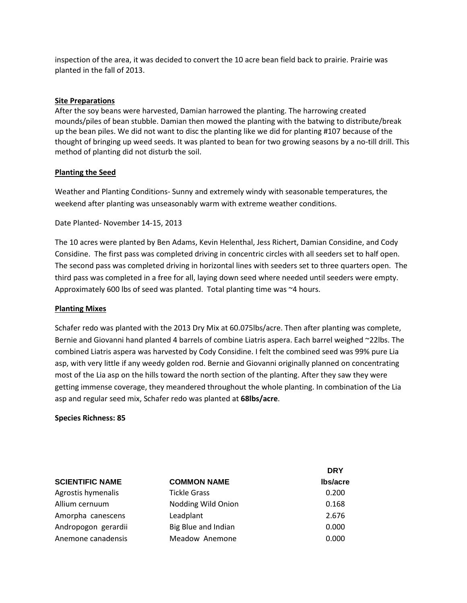inspection of the area, it was decided to convert the 10 acre bean field back to prairie. Prairie was planted in the fall of 2013.

### **Site Preparations**

After the soy beans were harvested, Damian harrowed the planting. The harrowing created mounds/piles of bean stubble. Damian then mowed the planting with the batwing to distribute/break up the bean piles. We did not want to disc the planting like we did for planting #107 because of the thought of bringing up weed seeds. It was planted to bean for two growing seasons by a no-till drill. This method of planting did not disturb the soil.

## **Planting the Seed**

Weather and Planting Conditions- Sunny and extremely windy with seasonable temperatures, the weekend after planting was unseasonably warm with extreme weather conditions.

Date Planted- November 14-15, 2013

The 10 acres were planted by Ben Adams, Kevin Helenthal, Jess Richert, Damian Considine, and Cody Considine. The first pass was completed driving in concentric circles with all seeders set to half open. The second pass was completed driving in horizontal lines with seeders set to three quarters open. The third pass was completed in a free for all, laying down seed where needed until seeders were empty. Approximately 600 lbs of seed was planted. Total planting time was ~4 hours.

#### **Planting Mixes**

Schafer redo was planted with the 2013 Dry Mix at 60.075lbs/acre. Then after planting was complete, Bernie and Giovanni hand planted 4 barrels of combine Liatris aspera. Each barrel weighed ~22lbs. The combined Liatris aspera was harvested by Cody Considine. I felt the combined seed was 99% pure Lia asp, with very little if any weedy golden rod. Bernie and Giovanni originally planned on concentrating most of the Lia asp on the hills toward the north section of the planting. After they saw they were getting immense coverage, they meandered throughout the whole planting. In combination of the Lia asp and regular seed mix, Schafer redo was planted at **68lbs/acre**.

**Species Richness: 85**

|                        |                     | <b>DRY</b>      |
|------------------------|---------------------|-----------------|
| <b>SCIENTIFIC NAME</b> | <b>COMMON NAME</b>  | <b>Ibs/acre</b> |
| Agrostis hymenalis     | <b>Tickle Grass</b> | 0.200           |
| Allium cernuum         | Nodding Wild Onion  | 0.168           |
| Amorpha canescens      | Leadplant           | 2.676           |
| Andropogon gerardii    | Big Blue and Indian | 0.000           |
| Anemone canadensis     | Meadow Anemone      | 0.000           |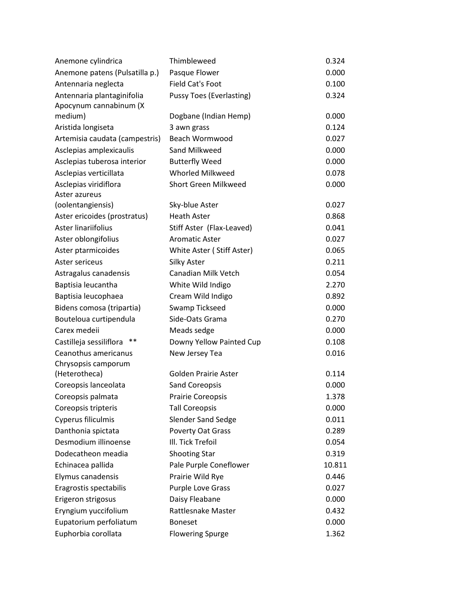| Anemone cylindrica             | Thimbleweed                     | 0.324  |
|--------------------------------|---------------------------------|--------|
| Anemone patens (Pulsatilla p.) | Pasque Flower                   | 0.000  |
| Antennaria neglecta            | <b>Field Cat's Foot</b>         | 0.100  |
| Antennaria plantaginifolia     | <b>Pussy Toes (Everlasting)</b> | 0.324  |
| Apocynum cannabinum (X         |                                 |        |
| medium)                        | Dogbane (Indian Hemp)           | 0.000  |
| Aristida longiseta             | 3 awn grass                     | 0.124  |
| Artemisia caudata (campestris) | <b>Beach Wormwood</b>           | 0.027  |
| Asclepias amplexicaulis        | Sand Milkweed                   | 0.000  |
| Asclepias tuberosa interior    | <b>Butterfly Weed</b>           | 0.000  |
| Asclepias verticillata         | <b>Whorled Milkweed</b>         | 0.078  |
| Asclepias viridiflora          | Short Green Milkweed            | 0.000  |
| Aster azureus                  |                                 |        |
| (oolentangiensis)              | Sky-blue Aster                  | 0.027  |
| Aster ericoides (prostratus)   | <b>Heath Aster</b>              | 0.868  |
| Aster linariifolius            | Stiff Aster (Flax-Leaved)       | 0.041  |
| Aster oblongifolius            | <b>Aromatic Aster</b>           | 0.027  |
| Aster ptarmicoides             | White Aster (Stiff Aster)       | 0.065  |
| Aster sericeus                 | <b>Silky Aster</b>              | 0.211  |
| Astragalus canadensis          | Canadian Milk Vetch             | 0.054  |
| Baptisia leucantha             | White Wild Indigo               | 2.270  |
| Baptisia leucophaea            | Cream Wild Indigo               | 0.892  |
| Bidens comosa (tripartia)      | Swamp Tickseed                  | 0.000  |
| Bouteloua curtipendula         | Side-Oats Grama                 | 0.270  |
| Carex medeii                   | Meads sedge                     | 0.000  |
| Castilleja sessiliflora<br>**  | Downy Yellow Painted Cup        | 0.108  |
| Ceanothus americanus           | New Jersey Tea                  | 0.016  |
| Chrysopsis camporum            |                                 |        |
| (Heterotheca)                  | <b>Golden Prairie Aster</b>     | 0.114  |
| Coreopsis lanceolata           | <b>Sand Coreopsis</b>           | 0.000  |
| Coreopsis palmata              | Prairie Coreopsis               | 1.378  |
| Coreopsis tripteris            | <b>Tall Coreopsis</b>           | 0.000  |
| Cyperus filiculmis             | <b>Slender Sand Sedge</b>       | 0.011  |
| Danthonia spictata             | Poverty Oat Grass               | 0.289  |
| Desmodium illinoense           | III. Tick Trefoil               | 0.054  |
| Dodecatheon meadia             | <b>Shooting Star</b>            | 0.319  |
| Echinacea pallida              | Pale Purple Coneflower          | 10.811 |
| Elymus canadensis              | Prairie Wild Rye                | 0.446  |
| Eragrostis spectabilis         | Purple Love Grass               | 0.027  |
| Erigeron strigosus             | Daisy Fleabane                  | 0.000  |
| Eryngium yuccifolium           | Rattlesnake Master              | 0.432  |
| Eupatorium perfoliatum         | <b>Boneset</b>                  | 0.000  |
| Euphorbia corollata            | <b>Flowering Spurge</b>         | 1.362  |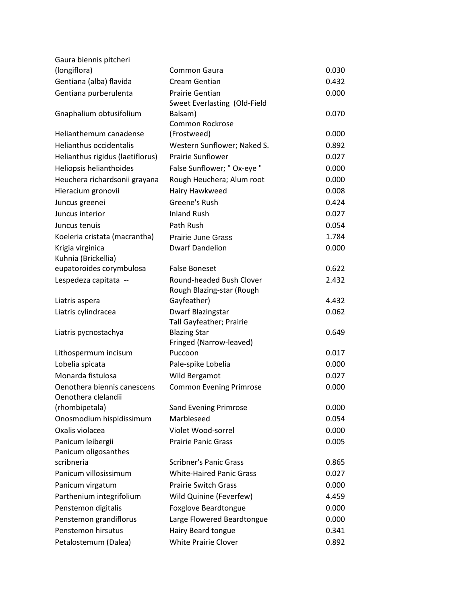| Gaura biennis pitcheri             |                                 |       |
|------------------------------------|---------------------------------|-------|
| (longiflora)                       | Common Gaura                    | 0.030 |
| Gentiana (alba) flavida            | <b>Cream Gentian</b>            | 0.432 |
| Gentiana purberulenta              | <b>Prairie Gentian</b>          | 0.000 |
|                                    | Sweet Everlasting (Old-Field    |       |
| Gnaphalium obtusifolium            | Balsam)                         | 0.070 |
|                                    | <b>Common Rockrose</b>          |       |
| Helianthemum canadense             | (Frostweed)                     | 0.000 |
| <b>Helianthus occidentalis</b>     | Western Sunflower; Naked S.     | 0.892 |
| Helianthus rigidus (laetiflorus)   | <b>Prairie Sunflower</b>        | 0.027 |
| Heliopsis helianthoides            | False Sunflower; " Ox-eye "     | 0.000 |
| Heuchera richardsonii grayana      | Rough Heuchera; Alum root       | 0.000 |
| Hieracium gronovii                 | Hairy Hawkweed                  | 0.008 |
| Juncus greenei                     | Greene's Rush                   | 0.424 |
| Juncus interior                    | <b>Inland Rush</b>              | 0.027 |
| Juncus tenuis                      | Path Rush                       | 0.054 |
| Koeleria cristata (macrantha)      | <b>Prairie June Grass</b>       | 1.784 |
| Krigia virginica                   | <b>Dwarf Dandelion</b>          | 0.000 |
| Kuhnia (Brickellia)                |                                 |       |
| eupatoroides corymbulosa           | <b>False Boneset</b>            | 0.622 |
| Lespedeza capitata --              | Round-headed Bush Clover        | 2.432 |
|                                    | Rough Blazing-star (Rough       |       |
| Liatris aspera                     | Gayfeather)                     | 4.432 |
| Liatris cylindracea                | Dwarf Blazingstar               | 0.062 |
|                                    | Tall Gayfeather; Prairie        |       |
| Liatris pycnostachya               | <b>Blazing Star</b>             | 0.649 |
|                                    | Fringed (Narrow-leaved)         |       |
| Lithospermum incisum               | Puccoon                         | 0.017 |
| Lobelia spicata                    | Pale-spike Lobelia              | 0.000 |
| Monarda fistulosa                  | Wild Bergamot                   | 0.027 |
| Oenothera biennis canescens        | <b>Common Evening Primrose</b>  | 0.000 |
| Oenothera clelandii                |                                 |       |
| (rhombipetala)                     | <b>Sand Evening Primrose</b>    | 0.000 |
| Onosmodium hispidissimum           | Marbleseed                      | 0.054 |
| Oxalis violacea                    | Violet Wood-sorrel              | 0.000 |
| Panicum leibergii                  | <b>Prairie Panic Grass</b>      | 0.005 |
| Panicum oligosanthes<br>scribneria | <b>Scribner's Panic Grass</b>   | 0.865 |
| Panicum villosissimum              | <b>White-Haired Panic Grass</b> | 0.027 |
|                                    | <b>Prairie Switch Grass</b>     | 0.000 |
| Panicum virgatum                   |                                 |       |
| Parthenium integrifolium           | Wild Quinine (Feverfew)         | 4.459 |
| Penstemon digitalis                | Foxglove Beardtongue            | 0.000 |
| Penstemon grandiflorus             | Large Flowered Beardtongue      | 0.000 |
| Penstemon hirsutus                 | Hairy Beard tongue              | 0.341 |
| Petalostemum (Dalea)               | <b>White Prairie Clover</b>     | 0.892 |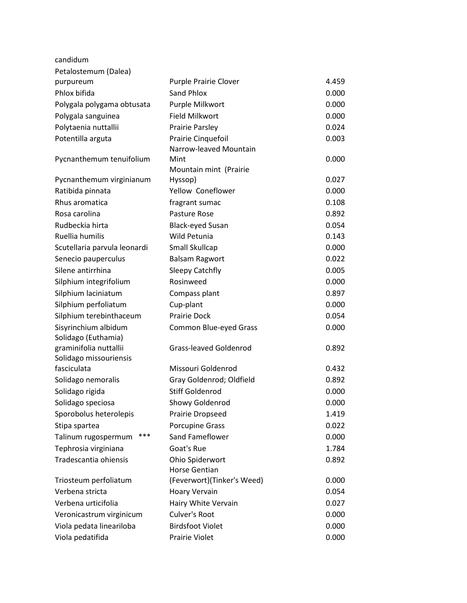| candidum                     |                               |       |
|------------------------------|-------------------------------|-------|
| Petalostemum (Dalea)         |                               |       |
| purpureum                    | <b>Purple Prairie Clover</b>  | 4.459 |
| Phlox bifida                 | Sand Phlox                    | 0.000 |
| Polygala polygama obtusata   | Purple Milkwort               | 0.000 |
| Polygala sanguinea           | <b>Field Milkwort</b>         | 0.000 |
| Polytaenia nuttallii         | Prairie Parsley               | 0.024 |
| Potentilla arguta            | Prairie Cinquefoil            | 0.003 |
|                              | Narrow-leaved Mountain        |       |
| Pycnanthemum tenuifolium     | Mint                          | 0.000 |
|                              | Mountain mint (Prairie        |       |
| Pycnanthemum virginianum     | Hyssop)                       | 0.027 |
| Ratibida pinnata             | Yellow Coneflower             | 0.000 |
| Rhus aromatica               | fragrant sumac                | 0.108 |
| Rosa carolina                | Pasture Rose                  | 0.892 |
| Rudbeckia hirta              | <b>Black-eyed Susan</b>       | 0.054 |
| Ruellia humilis              | Wild Petunia                  | 0.143 |
| Scutellaria parvula leonardi | <b>Small Skullcap</b>         | 0.000 |
| Senecio pauperculus          | <b>Balsam Ragwort</b>         | 0.022 |
| Silene antirrhina            | <b>Sleepy Catchfly</b>        | 0.005 |
| Silphium integrifolium       | Rosinweed                     | 0.000 |
| Silphium laciniatum          | Compass plant                 | 0.897 |
| Silphium perfoliatum         | Cup-plant                     | 0.000 |
| Silphium terebinthaceum      | <b>Prairie Dock</b>           | 0.054 |
| Sisyrinchium albidum         | Common Blue-eyed Grass        | 0.000 |
| Solidago (Euthamia)          |                               |       |
| graminifolia nuttallii       | <b>Grass-leaved Goldenrod</b> | 0.892 |
| Solidago missouriensis       |                               |       |
| fasciculata                  | Missouri Goldenrod            | 0.432 |
| Solidago nemoralis           | Gray Goldenrod; Oldfield      | 0.892 |
| Solidago rigida              | <b>Stiff Goldenrod</b>        | 0.000 |
| Solidago speciosa            | Showy Goldenrod               | 0.000 |
| Sporobolus heterolepis       | Prairie Dropseed              | 1.419 |
| Stipa spartea                | Porcupine Grass               | 0.022 |
| ***<br>Talinum rugospermum   | Sand Fameflower               | 0.000 |
| Tephrosia virginiana         | Goat's Rue                    | 1.784 |
| Tradescantia ohiensis        | Ohio Spiderwort               | 0.892 |
|                              | <b>Horse Gentian</b>          |       |
| Triosteum perfoliatum        | (Feverwort)(Tinker's Weed)    | 0.000 |
| Verbena stricta              | Hoary Vervain                 | 0.054 |
| Verbena urticifolia          | Hairy White Vervain           | 0.027 |
| Veronicastrum virginicum     | Culver's Root                 | 0.000 |
| Viola pedata lineariloba     | <b>Birdsfoot Violet</b>       | 0.000 |
| Viola pedatifida             | Prairie Violet                | 0.000 |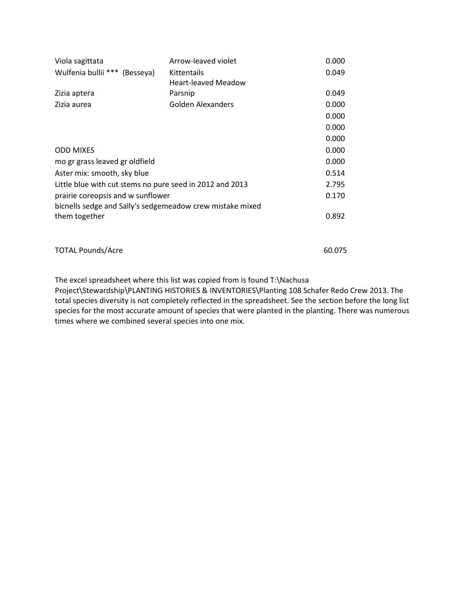| Viola sagittata                                           | Arrow-leaved violet        | 0.000  |
|-----------------------------------------------------------|----------------------------|--------|
| Wulfenia bullii *** (Besseya)                             | Kittentails                | 0.049  |
|                                                           | <b>Heart-leaved Meadow</b> |        |
| Zizia aptera                                              | Parsnip                    | 0.049  |
| Zizia aurea                                               | Golden Alexanders          | 0.000  |
|                                                           |                            | 0.000  |
|                                                           |                            | 0.000  |
|                                                           |                            | 0.000  |
| <b>ODD MIXES</b>                                          | 0.000                      |        |
| mo gr grass leaved gr oldfield                            | 0.000                      |        |
| Aster mix: smooth, sky blue                               | 0.514                      |        |
| Little blue with cut stems no pure seed in 2012 and 2013  | 2.795                      |        |
| prairie coreopsis and w sunflower                         | 0.170                      |        |
| bicnells sedge and Sally's sedgemeadow crew mistake mixed |                            |        |
| them together                                             | 0.892                      |        |
|                                                           |                            |        |
| <b>TOTAL Pounds/Acre</b>                                  |                            | 60.075 |

The excel spreadsheet where this list was copied from is found T:\Nachusa Project\Stewardship\PLANTING HISTORIES & INVENTORIES\Planting 108 Schafer Redo Crew 2013. The total species diversity is not completely reflected in the spreadsheet. See the section before the long list species for the most accurate amount of species that were planted in the planting. There was numerous times where we combined several species into one mix.